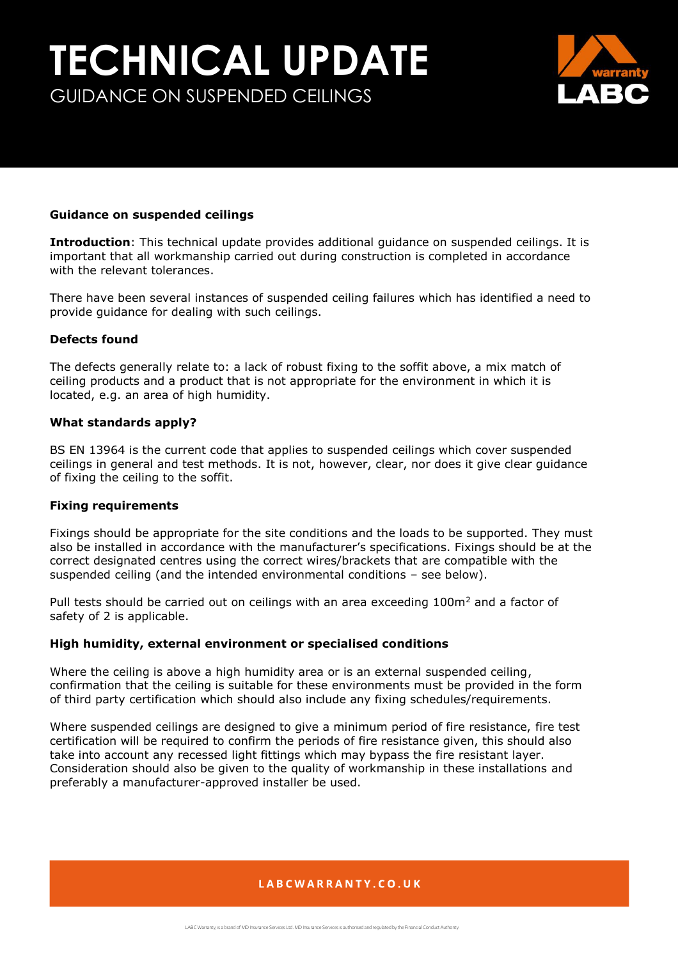# **TECHNICAL UPDATE** GUIDANCE ON SUSPENDED CEILINGS



## **Guidance on suspended ceilings**

**Introduction**: This technical update provides additional guidance on suspended ceilings. It is important that all workmanship carried out during construction is completed in accordance with the relevant tolerances.

There have been several instances of suspended ceiling failures which has identified a need to provide guidance for dealing with such ceilings.

### **Defects found**

The defects generally relate to: a lack of robust fixing to the soffit above, a mix match of ceiling products and a product that is not appropriate for the environment in which it is located, e.g. an area of high humidity.

#### **What standards apply?**

BS EN 13964 is the current code that applies to suspended ceilings which cover suspended ceilings in general and test methods. It is not, however, clear, nor does it give clear guidance of fixing the ceiling to the soffit.

#### **Fixing requirements**

Fixings should be appropriate for the site conditions and the loads to be supported. They must also be installed in accordance with the manufacturer's specifications. Fixings should be at the correct designated centres using the correct wires/brackets that are compatible with the suspended ceiling (and the intended environmental conditions – see below).

Pull tests should be carried out on ceilings with an area exceeding  $100m<sup>2</sup>$  and a factor of safety of 2 is applicable.

#### **High humidity, external environment or specialised conditions**

Where the ceiling is above a high humidity area or is an external suspended ceiling, confirmation that the ceiling is suitable for these environments must be provided in the form of third party certification which should also include any fixing schedules/requirements.

Where suspended ceilings are designed to give a minimum period of fire resistance, fire test certification will be required to confirm the periods of fire resistance given, this should also take into account any recessed light fittings which may bypass the fire resistant layer. Consideration should also be given to the quality of workmanship in these installations and preferably a manufacturer-approved installer be used.

## LABCWARRANTY.CO.UK